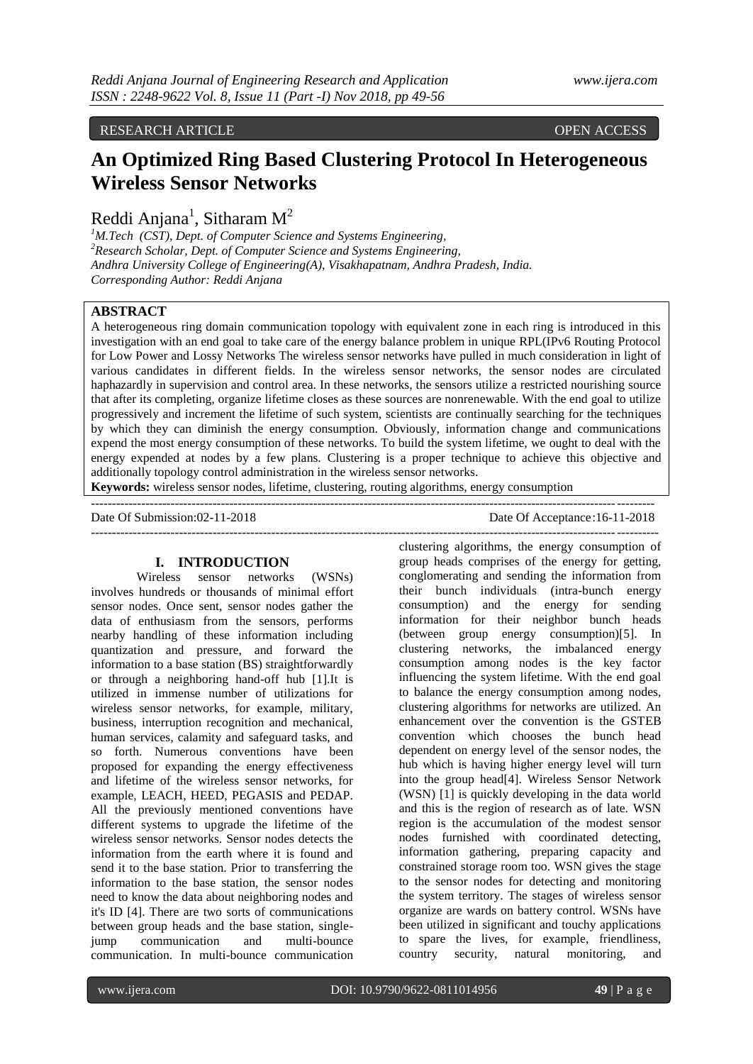## RESEARCH ARTICLE **OPEN ACCESS**

# **An Optimized Ring Based Clustering Protocol In Heterogeneous Wireless Sensor Networks**

Reddi Anjana<sup>1</sup>, Sitharam M<sup>2</sup>

*<sup>1</sup>M.Tech (CST), Dept. of Computer Science and Systems Engineering, <sup>2</sup>Research Scholar, Dept. of Computer Science and Systems Engineering, Andhra University College of Engineering(A), Visakhapatnam, Andhra Pradesh, India. Corresponding Author: Reddi Anjana*

## **ABSTRACT**

A heterogeneous ring domain communication topology with equivalent zone in each ring is introduced in this investigation with an end goal to take care of the energy balance problem in unique RPL(IPv6 Routing Protocol for Low Power and Lossy Networks The wireless sensor networks have pulled in much consideration in light of various candidates in different fields. In the wireless sensor networks, the sensor nodes are circulated haphazardly in supervision and control area. In these networks, the sensors utilize a restricted nourishing source that after its completing, organize lifetime closes as these sources are nonrenewable. With the end goal to utilize progressively and increment the lifetime of such system, scientists are continually searching for the techniques by which they can diminish the energy consumption. Obviously, information change and communications expend the most energy consumption of these networks. To build the system lifetime, we ought to deal with the energy expended at nodes by a few plans. Clustering is a proper technique to achieve this objective and additionally topology control administration in the wireless sensor networks.

**Keywords:** wireless sensor nodes, lifetime, clustering, routing algorithms, energy consumption --------------------------------------------------------------------------------------------------------------------------------------

Date Of Submission:02-11-2018 Date Of Acceptance:16-11-2018

---------------------------------------------------------------------------------------------------------------------------------------

#### **I. INTRODUCTION**

Wireless sensor networks (WSNs) involves hundreds or thousands of minimal effort sensor nodes. Once sent, sensor nodes gather the data of enthusiasm from the sensors, performs nearby handling of these information including quantization and pressure, and forward the information to a base station (BS) straightforwardly or through a neighboring hand-off hub [1].It is utilized in immense number of utilizations for wireless sensor networks, for example, military, business, interruption recognition and mechanical, human services, calamity and safeguard tasks, and so forth. Numerous conventions have been proposed for expanding the energy effectiveness and lifetime of the wireless sensor networks, for example, LEACH, HEED, PEGASIS and PEDAP. All the previously mentioned conventions have different systems to upgrade the lifetime of the wireless sensor networks. Sensor nodes detects the information from the earth where it is found and send it to the base station. Prior to transferring the information to the base station, the sensor nodes need to know the data about neighboring nodes and it's ID [4]. There are two sorts of communications between group heads and the base station, singlejump communication and multi-bounce communication. In multi-bounce communication

clustering algorithms, the energy consumption of group heads comprises of the energy for getting, conglomerating and sending the information from their bunch individuals (intra-bunch energy consumption) and the energy for sending information for their neighbor bunch heads (between group energy consumption)[5]. In clustering networks, the imbalanced energy consumption among nodes is the key factor influencing the system lifetime. With the end goal to balance the energy consumption among nodes, clustering algorithms for networks are utilized. An enhancement over the convention is the GSTEB convention which chooses the bunch head dependent on energy level of the sensor nodes, the hub which is having higher energy level will turn into the group head[4]. Wireless Sensor Network (WSN) [1] is quickly developing in the data world and this is the region of research as of late. WSN region is the accumulation of the modest sensor nodes furnished with coordinated detecting, information gathering, preparing capacity and constrained storage room too. WSN gives the stage to the sensor nodes for detecting and monitoring the system territory. The stages of wireless sensor organize are wards on battery control. WSNs have been utilized in significant and touchy applications to spare the lives, for example, friendliness, country security, natural monitoring, and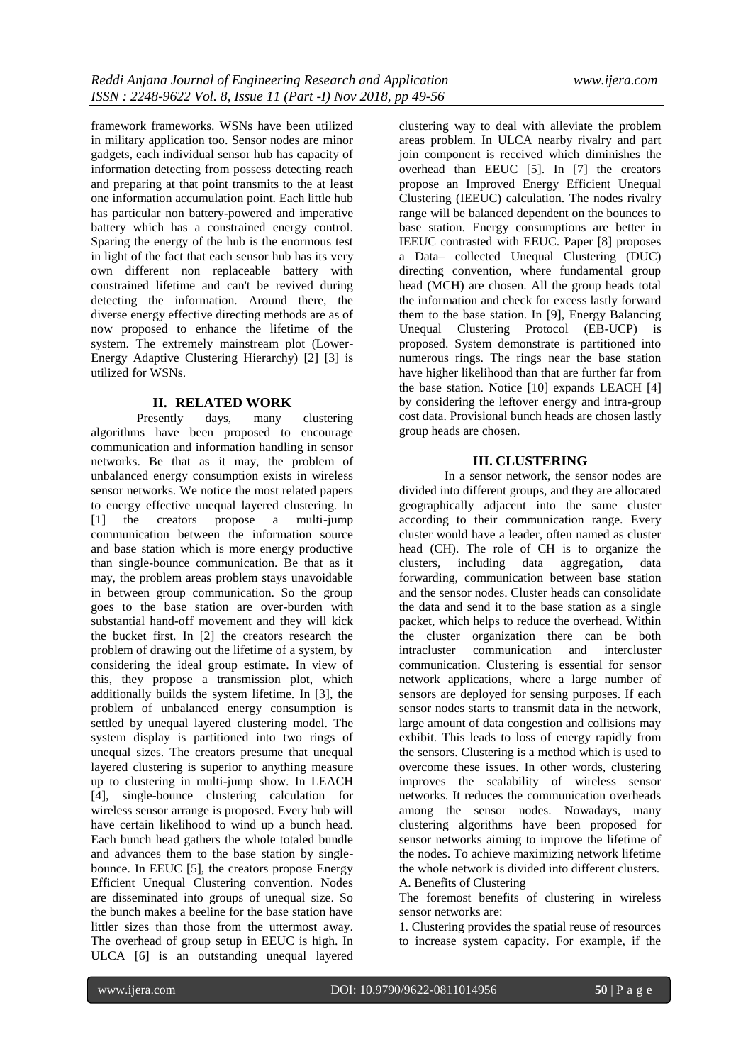framework frameworks. WSNs have been utilized in military application too. Sensor nodes are minor gadgets, each individual sensor hub has capacity of information detecting from possess detecting reach and preparing at that point transmits to the at least one information accumulation point. Each little hub has particular non battery-powered and imperative battery which has a constrained energy control. Sparing the energy of the hub is the enormous test in light of the fact that each sensor hub has its very own different non replaceable battery with constrained lifetime and can't be revived during detecting the information. Around there, the diverse energy effective directing methods are as of now proposed to enhance the lifetime of the system. The extremely mainstream plot (Lower-Energy Adaptive Clustering Hierarchy) [2] [3] is utilized for WSNs.

## **II. RELATED WORK**

Presently days, many clustering algorithms have been proposed to encourage communication and information handling in sensor networks. Be that as it may, the problem of unbalanced energy consumption exists in wireless sensor networks. We notice the most related papers to energy effective unequal layered clustering. In [1] the creators propose a multi-jump communication between the information source and base station which is more energy productive than single-bounce communication. Be that as it may, the problem areas problem stays unavoidable in between group communication. So the group goes to the base station are over-burden with substantial hand-off movement and they will kick the bucket first. In [2] the creators research the problem of drawing out the lifetime of a system, by considering the ideal group estimate. In view of this, they propose a transmission plot, which additionally builds the system lifetime. In [3], the problem of unbalanced energy consumption is settled by unequal layered clustering model. The system display is partitioned into two rings of unequal sizes. The creators presume that unequal layered clustering is superior to anything measure up to clustering in multi-jump show. In LEACH [4], single-bounce clustering calculation for wireless sensor arrange is proposed. Every hub will have certain likelihood to wind up a bunch head. Each bunch head gathers the whole totaled bundle and advances them to the base station by singlebounce. In EEUC [5], the creators propose Energy Efficient Unequal Clustering convention. Nodes are disseminated into groups of unequal size. So the bunch makes a beeline for the base station have littler sizes than those from the uttermost away. The overhead of group setup in EEUC is high. In ULCA [6] is an outstanding unequal layered

clustering way to deal with alleviate the problem areas problem. In ULCA nearby rivalry and part join component is received which diminishes the overhead than EEUC [5]. In [7] the creators propose an Improved Energy Efficient Unequal Clustering (IEEUC) calculation. The nodes rivalry range will be balanced dependent on the bounces to base station. Energy consumptions are better in IEEUC contrasted with EEUC. Paper [8] proposes a Data– collected Unequal Clustering (DUC) directing convention, where fundamental group head (MCH) are chosen. All the group heads total the information and check for excess lastly forward them to the base station. In [9], Energy Balancing Unequal Clustering Protocol (EB-UCP) is proposed. System demonstrate is partitioned into numerous rings. The rings near the base station have higher likelihood than that are further far from the base station. Notice [10] expands LEACH [4] by considering the leftover energy and intra-group cost data. Provisional bunch heads are chosen lastly group heads are chosen.

## **III. CLUSTERING**

In a sensor network, the sensor nodes are divided into different groups, and they are allocated geographically adjacent into the same cluster according to their communication range. Every cluster would have a leader, often named as cluster head (CH). The role of CH is to organize the clusters, including data aggregation, data forwarding, communication between base station and the sensor nodes. Cluster heads can consolidate the data and send it to the base station as a single packet, which helps to reduce the overhead. Within the cluster organization there can be both intracluster communication and intercluster communication. Clustering is essential for sensor network applications, where a large number of sensors are deployed for sensing purposes. If each sensor nodes starts to transmit data in the network, large amount of data congestion and collisions may exhibit. This leads to loss of energy rapidly from the sensors. Clustering is a method which is used to overcome these issues. In other words, clustering improves the scalability of wireless sensor networks. It reduces the communication overheads among the sensor nodes. Nowadays, many clustering algorithms have been proposed for sensor networks aiming to improve the lifetime of the nodes. To achieve maximizing network lifetime the whole network is divided into different clusters. A. Benefits of Clustering

The foremost benefits of clustering in wireless sensor networks are:

1. Clustering provides the spatial reuse of resources to increase system capacity. For example, if the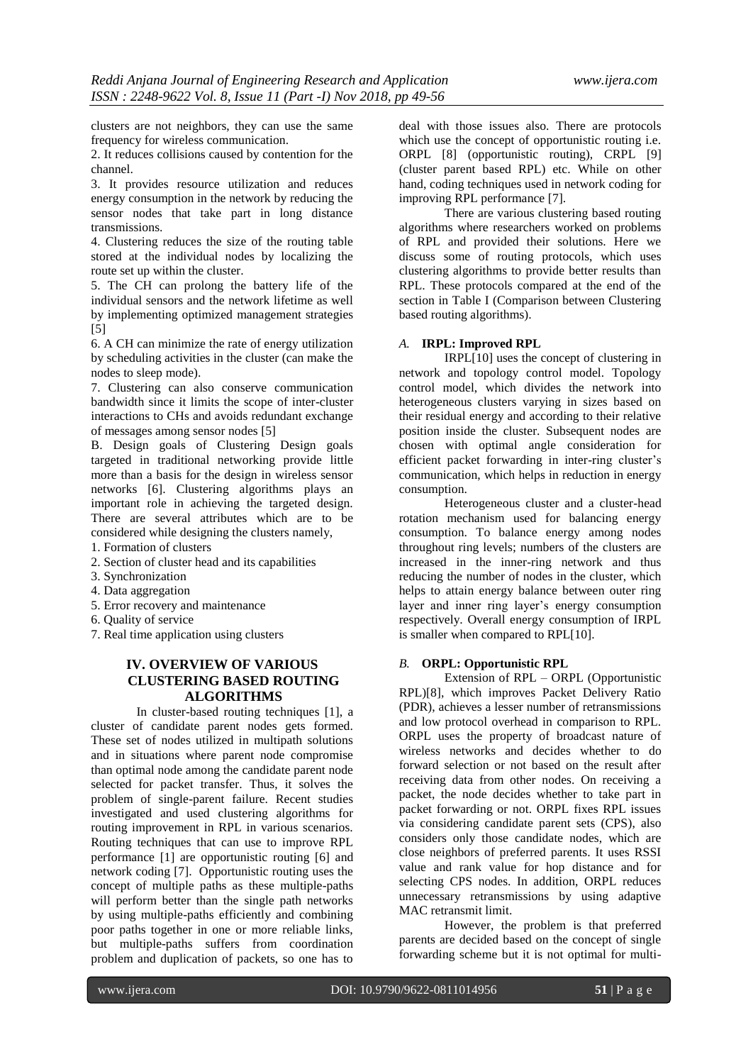clusters are not neighbors, they can use the same frequency for wireless communication.

2. It reduces collisions caused by contention for the channel.

3. It provides resource utilization and reduces energy consumption in the network by reducing the sensor nodes that take part in long distance transmissions.

4. Clustering reduces the size of the routing table stored at the individual nodes by localizing the route set up within the cluster.

5. The CH can prolong the battery life of the individual sensors and the network lifetime as well by implementing optimized management strategies [5]

6. A CH can minimize the rate of energy utilization by scheduling activities in the cluster (can make the nodes to sleep mode).

7. Clustering can also conserve communication bandwidth since it limits the scope of inter-cluster interactions to CHs and avoids redundant exchange of messages among sensor nodes [5]

B. Design goals of Clustering Design goals targeted in traditional networking provide little more than a basis for the design in wireless sensor networks [6]. Clustering algorithms plays an important role in achieving the targeted design. There are several attributes which are to be considered while designing the clusters namely,

1. Formation of clusters

- 2. Section of cluster head and its capabilities
- 3. Synchronization
- 4. Data aggregation
- 5. Error recovery and maintenance
- 6. Quality of service
- 7. Real time application using clusters

## **IV. OVERVIEW OF VARIOUS CLUSTERING BASED ROUTING ALGORITHMS**

In cluster-based routing techniques [1], a cluster of candidate parent nodes gets formed. These set of nodes utilized in multipath solutions and in situations where parent node compromise than optimal node among the candidate parent node selected for packet transfer. Thus, it solves the problem of single-parent failure. Recent studies investigated and used clustering algorithms for routing improvement in RPL in various scenarios. Routing techniques that can use to improve RPL performance [1] are opportunistic routing [6] and network coding [7]. Opportunistic routing uses the concept of multiple paths as these multiple-paths will perform better than the single path networks by using multiple-paths efficiently and combining poor paths together in one or more reliable links, but multiple-paths suffers from coordination problem and duplication of packets, so one has to

deal with those issues also. There are protocols which use the concept of opportunistic routing i.e. ORPL [8] (opportunistic routing), CRPL [9] (cluster parent based RPL) etc. While on other hand, coding techniques used in network coding for improving RPL performance [7].

There are various clustering based routing algorithms where researchers worked on problems of RPL and provided their solutions. Here we discuss some of routing protocols, which uses clustering algorithms to provide better results than RPL. These protocols compared at the end of the section in Table I (Comparison between Clustering based routing algorithms).

## *A.* **IRPL: Improved RPL**

IRPL[10] uses the concept of clustering in network and topology control model. Topology control model, which divides the network into heterogeneous clusters varying in sizes based on their residual energy and according to their relative position inside the cluster. Subsequent nodes are chosen with optimal angle consideration for efficient packet forwarding in inter-ring cluster's communication, which helps in reduction in energy consumption.

Heterogeneous cluster and a cluster-head rotation mechanism used for balancing energy consumption. To balance energy among nodes throughout ring levels; numbers of the clusters are increased in the inner-ring network and thus reducing the number of nodes in the cluster, which helps to attain energy balance between outer ring layer and inner ring layer's energy consumption respectively. Overall energy consumption of IRPL is smaller when compared to RPL[10].

#### *B.* **ORPL: Opportunistic RPL**

Extension of RPL – ORPL (Opportunistic RPL)[8], which improves Packet Delivery Ratio (PDR), achieves a lesser number of retransmissions and low protocol overhead in comparison to RPL. ORPL uses the property of broadcast nature of wireless networks and decides whether to do forward selection or not based on the result after receiving data from other nodes. On receiving a packet, the node decides whether to take part in packet forwarding or not. ORPL fixes RPL issues via considering candidate parent sets (CPS), also considers only those candidate nodes, which are close neighbors of preferred parents. It uses RSSI value and rank value for hop distance and for selecting CPS nodes. In addition, ORPL reduces unnecessary retransmissions by using adaptive MAC retransmit limit.

However, the problem is that preferred parents are decided based on the concept of single forwarding scheme but it is not optimal for multi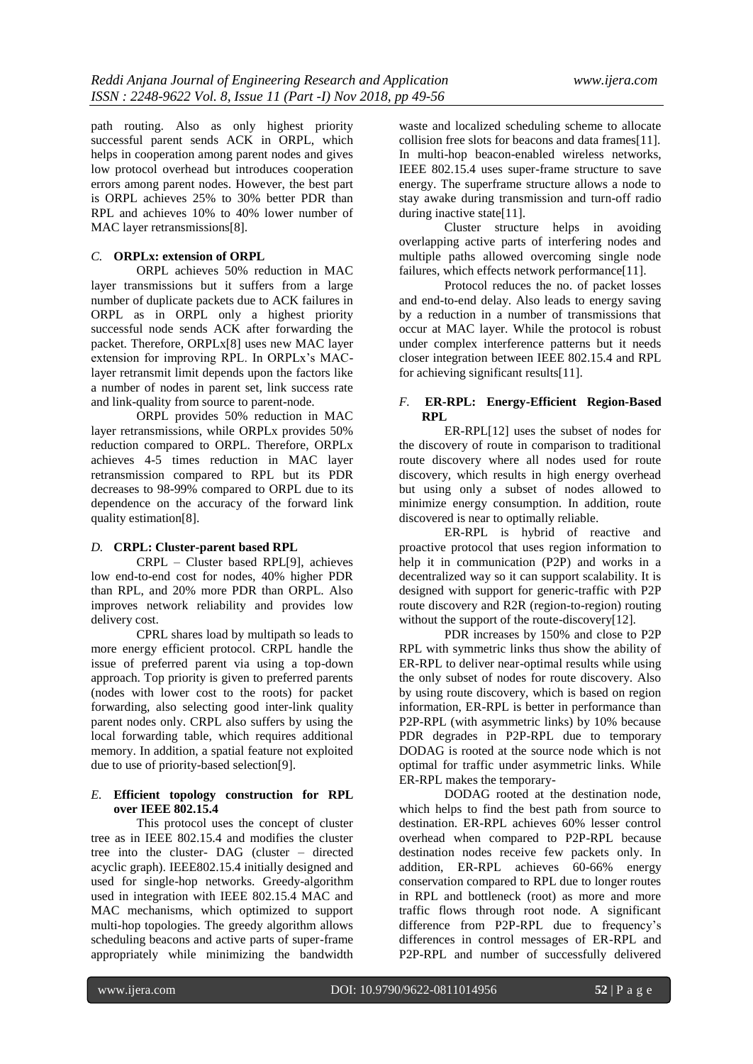path routing. Also as only highest priority successful parent sends ACK in ORPL, which helps in cooperation among parent nodes and gives low protocol overhead but introduces cooperation errors among parent nodes. However, the best part is ORPL achieves 25% to 30% better PDR than RPL and achieves 10% to 40% lower number of MAC layer retransmissions[8].

## *C.* **ORPLx:** extension of **ORPL**

ORPL achieves 50% reduction in MAC layer transmissions but it suffers from a large number of duplicate packets due to ACK failures in ORPL as in ORPL only a highest priority successful node sends ACK after forwarding the packet. Therefore, ORPLx[8] uses new MAC layer extension for improving RPL. In ORPLx's MAClayer retransmit limit depends upon the factors like a number of nodes in parent set, link success rate and link-quality from source to parent-node.

ORPL provides 50% reduction in MAC layer retransmissions, while ORPLx provides 50% reduction compared to ORPL. Therefore, ORPLx achieves 4-5 times reduction in MAC layer retransmission compared to RPL but its PDR decreases to 98-99% compared to ORPL due to its dependence on the accuracy of the forward link quality estimation[8].

#### *D.* **CRPL: Cluster-parent based RPL**

CRPL – Cluster based RPL[9], achieves low end-to-end cost for nodes, 40% higher PDR than RPL, and 20% more PDR than ORPL. Also improves network reliability and provides low delivery cost.

CPRL shares load by multipath so leads to more energy efficient protocol. CRPL handle the issue of preferred parent via using a top-down approach. Top priority is given to preferred parents (nodes with lower cost to the roots) for packet forwarding, also selecting good inter-link quality parent nodes only. CRPL also suffers by using the local forwarding table, which requires additional memory. In addition, a spatial feature not exploited due to use of priority-based selection[9].

## *E.* **Efficient topology construction for RPL over IEEE 802.15.4**

This protocol uses the concept of cluster tree as in IEEE 802.15.4 and modifies the cluster tree into the cluster- DAG (cluster – directed acyclic graph). IEEE802.15.4 initially designed and used for single-hop networks. Greedy-algorithm used in integration with IEEE 802.15.4 MAC and MAC mechanisms, which optimized to support multi-hop topologies. The greedy algorithm allows scheduling beacons and active parts of super-frame appropriately while minimizing the bandwidth

waste and localized scheduling scheme to allocate collision free slots for beacons and data frames[11]. In multi-hop beacon-enabled wireless networks, IEEE 802.15.4 uses super-frame structure to save energy. The superframe structure allows a node to stay awake during transmission and turn-off radio during inactive state[11].

Cluster structure helps in avoiding overlapping active parts of interfering nodes and multiple paths allowed overcoming single node failures, which effects network performance[11].

Protocol reduces the no. of packet losses and end-to-end delay. Also leads to energy saving by a reduction in a number of transmissions that occur at MAC layer. While the protocol is robust under complex interference patterns but it needs closer integration between IEEE 802.15.4 and RPL for achieving significant results[11].

#### *F.* **ER-RPL: Energy-Efficient Region-Based RPL**

ER-RPL[12] uses the subset of nodes for the discovery of route in comparison to traditional route discovery where all nodes used for route discovery, which results in high energy overhead but using only a subset of nodes allowed to minimize energy consumption. In addition, route discovered is near to optimally reliable.

ER-RPL is hybrid of reactive and proactive protocol that uses region information to help it in communication (P2P) and works in a decentralized way so it can support scalability. It is designed with support for generic-traffic with P2P route discovery and R2R (region-to-region) routing without the support of the route-discovery[12].

PDR increases by 150% and close to P2P RPL with symmetric links thus show the ability of ER-RPL to deliver near-optimal results while using the only subset of nodes for route discovery. Also by using route discovery, which is based on region information, ER-RPL is better in performance than P2P-RPL (with asymmetric links) by 10% because PDR degrades in P2P-RPL due to temporary DODAG is rooted at the source node which is not optimal for traffic under asymmetric links. While ER-RPL makes the temporary-

DODAG rooted at the destination node, which helps to find the best path from source to destination. ER-RPL achieves 60% lesser control overhead when compared to P2P-RPL because destination nodes receive few packets only. In addition, ER-RPL achieves 60-66% energy conservation compared to RPL due to longer routes in RPL and bottleneck (root) as more and more traffic flows through root node. A significant difference from P2P-RPL due to frequency's differences in control messages of ER-RPL and P2P-RPL and number of successfully delivered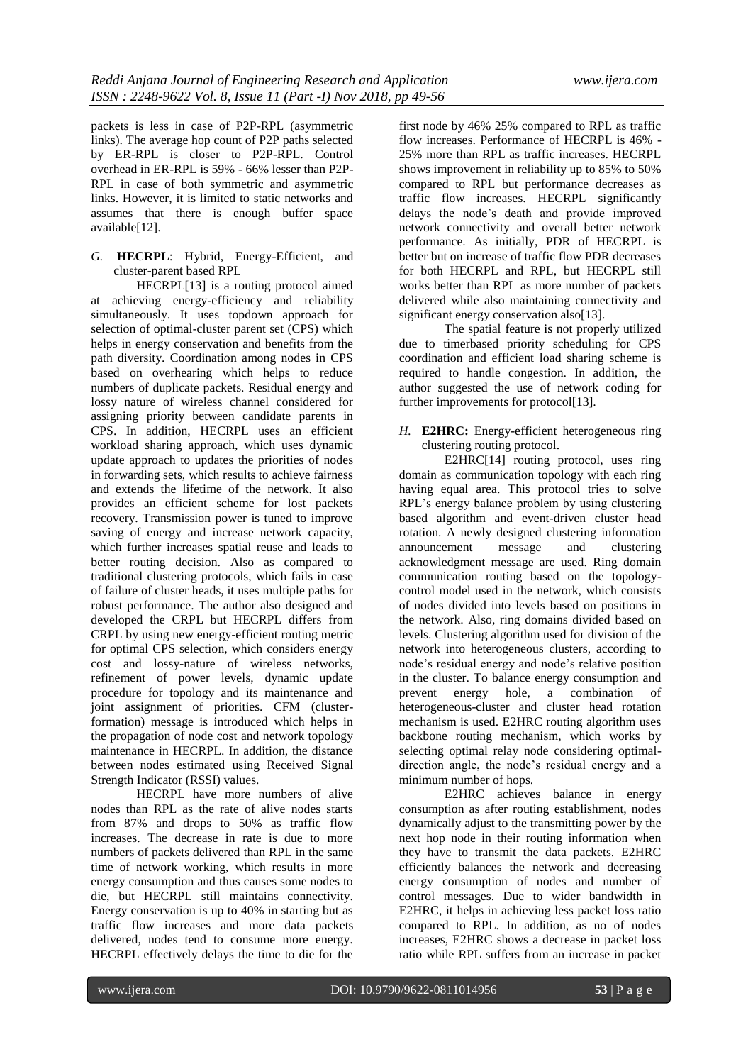packets is less in case of P2P-RPL (asymmetric links). The average hop count of P2P paths selected by ER-RPL is closer to P2P-RPL. Control overhead in ER-RPL is 59% - 66% lesser than P2P-RPL in case of both symmetric and asymmetric links. However, it is limited to static networks and assumes that there is enough buffer space available[12].

## *G.* **HECRPL**: Hybrid, Energy-Efficient, and cluster-parent based RPL

HECRPL[13] is a routing protocol aimed at achieving energy-efficiency and reliability simultaneously. It uses topdown approach for selection of optimal-cluster parent set (CPS) which helps in energy conservation and benefits from the path diversity. Coordination among nodes in CPS based on overhearing which helps to reduce numbers of duplicate packets. Residual energy and lossy nature of wireless channel considered for assigning priority between candidate parents in CPS. In addition, HECRPL uses an efficient workload sharing approach, which uses dynamic update approach to updates the priorities of nodes in forwarding sets, which results to achieve fairness and extends the lifetime of the network. It also provides an efficient scheme for lost packets recovery. Transmission power is tuned to improve saving of energy and increase network capacity, which further increases spatial reuse and leads to better routing decision. Also as compared to traditional clustering protocols, which fails in case of failure of cluster heads, it uses multiple paths for robust performance. The author also designed and developed the CRPL but HECRPL differs from CRPL by using new energy-efficient routing metric for optimal CPS selection, which considers energy cost and lossy-nature of wireless networks, refinement of power levels, dynamic update procedure for topology and its maintenance and joint assignment of priorities. CFM (clusterformation) message is introduced which helps in the propagation of node cost and network topology maintenance in HECRPL. In addition, the distance between nodes estimated using Received Signal Strength Indicator (RSSI) values.

HECRPL have more numbers of alive nodes than RPL as the rate of alive nodes starts from 87% and drops to 50% as traffic flow increases. The decrease in rate is due to more numbers of packets delivered than RPL in the same time of network working, which results in more energy consumption and thus causes some nodes to die, but HECRPL still maintains connectivity. Energy conservation is up to 40% in starting but as traffic flow increases and more data packets delivered, nodes tend to consume more energy. HECRPL effectively delays the time to die for the

first node by 46% 25% compared to RPL as traffic flow increases. Performance of HECRPL is 46% - 25% more than RPL as traffic increases. HECRPL shows improvement in reliability up to 85% to 50% compared to RPL but performance decreases as traffic flow increases. HECRPL significantly delays the node's death and provide improved network connectivity and overall better network performance. As initially, PDR of HECRPL is better but on increase of traffic flow PDR decreases for both HECRPL and RPL, but HECRPL still works better than RPL as more number of packets delivered while also maintaining connectivity and significant energy conservation also[13].

The spatial feature is not properly utilized due to timerbased priority scheduling for CPS coordination and efficient load sharing scheme is required to handle congestion. In addition, the author suggested the use of network coding for further improvements for protocol[13].

## *H.* **E2HRC:** Energy-efficient heterogeneous ring clustering routing protocol.

E2HRC[14] routing protocol, uses ring domain as communication topology with each ring having equal area. This protocol tries to solve RPL's energy balance problem by using clustering based algorithm and event-driven cluster head rotation. A newly designed clustering information announcement message and clustering acknowledgment message are used. Ring domain communication routing based on the topologycontrol model used in the network, which consists of nodes divided into levels based on positions in the network. Also, ring domains divided based on levels. Clustering algorithm used for division of the network into heterogeneous clusters, according to node's residual energy and node's relative position in the cluster. To balance energy consumption and prevent energy hole, a combination of heterogeneous-cluster and cluster head rotation mechanism is used. E2HRC routing algorithm uses backbone routing mechanism, which works by selecting optimal relay node considering optimaldirection angle, the node's residual energy and a minimum number of hops.

E2HRC achieves balance in energy consumption as after routing establishment, nodes dynamically adjust to the transmitting power by the next hop node in their routing information when they have to transmit the data packets. E2HRC efficiently balances the network and decreasing energy consumption of nodes and number of control messages. Due to wider bandwidth in E2HRC, it helps in achieving less packet loss ratio compared to RPL. In addition, as no of nodes increases, E2HRC shows a decrease in packet loss ratio while RPL suffers from an increase in packet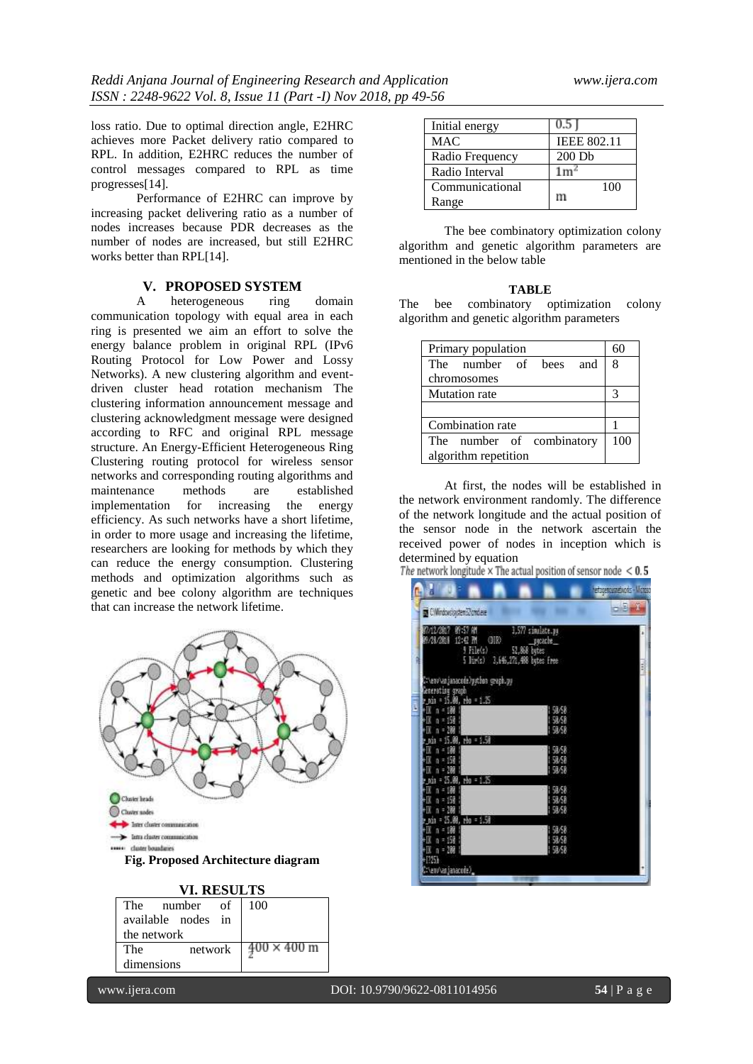loss ratio. Due to optimal direction angle, E2HRC achieves more Packet delivery ratio compared to RPL. In addition, E2HRC reduces the number of control messages compared to RPL as time progresses[14].

Performance of E2HRC can improve by increasing packet delivering ratio as a number of nodes increases because PDR decreases as the number of nodes are increased, but still E2HRC works better than RPL[14].

## **V. PROPOSED SYSTEM**

A heterogeneous ring domain communication topology with equal area in each ring is presented we aim an effort to solve the energy balance problem in original RPL (IPv6 Routing Protocol for Low Power and Lossy Networks). A new clustering algorithm and eventdriven cluster head rotation mechanism The clustering information announcement message and clustering acknowledgment message were designed according to RFC and original RPL message structure. An Energy-Efficient Heterogeneous Ring Clustering routing protocol for wireless sensor networks and corresponding routing algorithms and maintenance methods are established implementation for increasing the energy efficiency. As such networks have a short lifetime, in order to more usage and increasing the lifetime, researchers are looking for methods by which they can reduce the energy consumption. Clustering methods and optimization algorithms such as genetic and bee colony algorithm are techniques that can increase the network lifetime.



**VI. RESULTS**

| The         | number             | of. | 100                |
|-------------|--------------------|-----|--------------------|
|             | available nodes in |     |                    |
| the network |                    |     |                    |
| The         | network            |     | $400 \times 400$ m |
| dimensions  |                    |     |                    |
|             |                    |     |                    |

| Initial energy  |                    |
|-----------------|--------------------|
| MAC.            | <b>IEEE 802.11</b> |
| Radio Frequency | $200$ Db           |
| Radio Interval  |                    |
| Communicational | 100                |
| Range           |                    |

The bee combinatory optimization colony algorithm and genetic algorithm parameters are mentioned in the below table

#### **TABLE**

The bee combinatory optimization colony algorithm and genetic algorithm parameters

| Primary population        | 60  |
|---------------------------|-----|
| The number of bees and    | 8   |
| chromosomes               |     |
| Mutation rate             |     |
|                           |     |
| Combination rate          |     |
| The number of combinatory | 100 |
| algorithm repetition      |     |

At first, the nodes will be established in the network environment randomly. The difference of the network longitude and the actual position of the sensor node in the network ascertain the received power of nodes in inception which is determined by equation<br>The network longitude  $\times$  The actual position of sensor node  $< 0.5$ 

| <b>B</b> C/Windows system 22 ondere                                                        | - 9-7                                        |
|--------------------------------------------------------------------------------------------|----------------------------------------------|
| 的心细? 的印前<br>的小说 12:42 刑<br><b>OHO</b><br>f File(s)<br>5 lin(s) 3, 146, 272, 488 bytes free | 3,577 simulate.pp<br>_prache<br>52,868 bytes |
| C:\env\anjanacode)yython greph.py<br>Generating graph<br>P nin = 15.删, rho = 1.25          |                                              |
| 相当線<br>+II n = 158<br>Ⅱ 1 = 20                                                             | 198<br>1.58.58<br>1.98.58                    |
| P_020 = 15.明, rho = 1.58<br><b>IX n = 188</b><br>$11 - 19$                                 | 1949<br>1.58.58                              |
| · 图 1 = 200<br>r nia = 25.00, rho = 1.25<br>· 图 n = 108<br>II n = 158                      | 1968<br>1948<br>1.58/58                      |
| · 图 1 · 测<br>· nia = 25.00, rho = 1.50<br>The 199                                          | 1.98.58<br>1948                              |
| +0 a = 198<br> K n = 200                                                                   | 13M<br>1968                                  |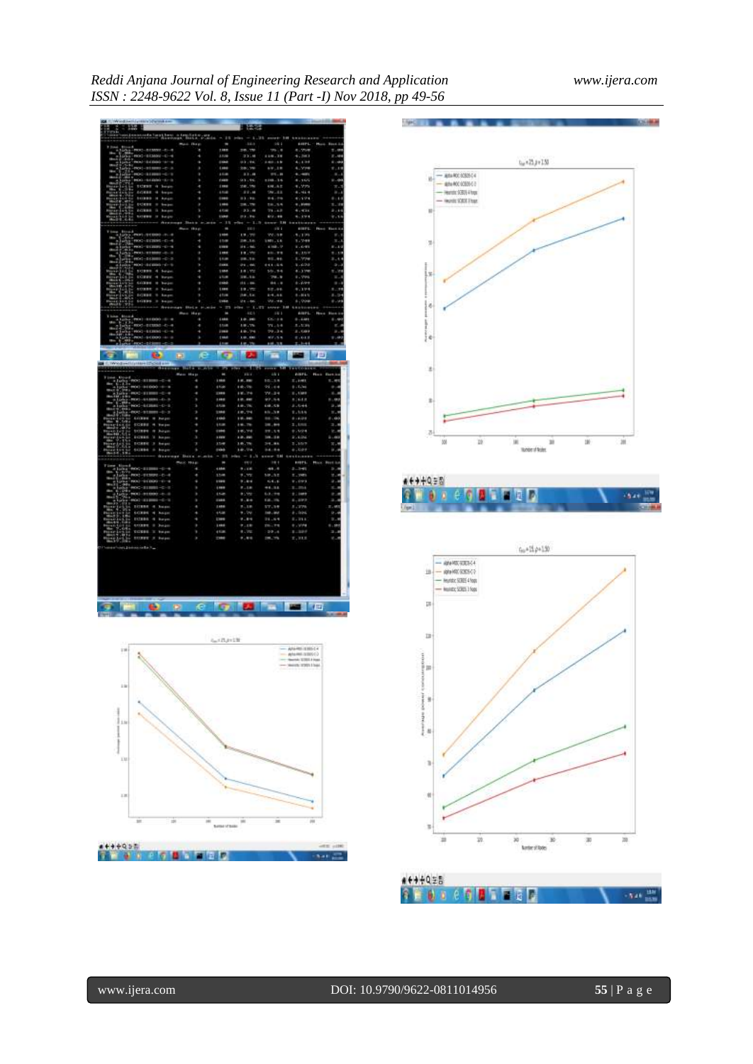*Reddi Anjana Journal of Engineering Research and Application www.ijera.com ISSN : 2248-9622 Vol. 8, Issue 11 (Part -I) Nov 2018, pp 49-56*



harmed from



**ARTISTS OF BISKER**